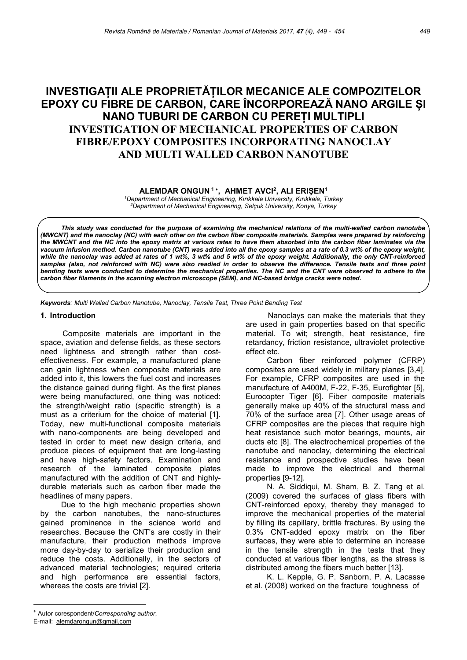# INVESTIGAȚII ALE PROPRIETĂȚILOR MECANICE ALE COMPOZITELOR EPOXY CU FIBRE DE CARBON, CARE ÎNCORPOREAZĂ NANO ARGILE ȘI NANO TUBURI DE CARBON CU PEREȚI MULTIPLI INVESTIGATION OF MECHANICAL PROPERTIES OF CARBON FIBRE/EPOXY COMPOSITES INCORPORATING NANOCLAY AND MULTI WALLED CARBON NANOTUBE

ALEMDAR ONGUN<sup>1</sup>', AHMET AVCI<sup>2</sup>, ALI ERIŞEN<sup>1</sup>

<sup>1</sup>Department of Mechanical Engineering, Kırıkkale University, Kırıkkale, Turkey <sup>2</sup>Department of Mechanical Engineering, Selçuk University, Konya, Turkey

This study was conducted for the purpose of examining the mechanical relations of the multi-walled carbon nanotube (MWCNT) and the nanoclay (NC) with each other on the carbon fiber composite materials. Samples were prepared by reinforcing the MWCNT and the NC into the epoxy matrix at various rates to have them absorbed into the carbon fiber laminates via the vacuum infusion method. Carbon nanotube (CNT) was added into all the epoxy samples at a rate of 0.3 wt% of the epoxy weight, while the nanoclay was added at rates of 1 wt%, 3 wt% and 5 wt% of the epoxy weight. Additionally, the only CNT-reinforced samples (also, not reinforced with NC) were also readied in order to observe the difference. Tensile tests and three point bending tests were conducted to determine the mechanical properties. The NC and the CNT were observed to adhere to the carbon fiber filaments in the scanning electron microscope (SEM), and NC-based bridge cracks were noted.

Keywords: Multi Walled Carbon Nanotube, Nanoclay, Tensile Test, Three Point Bending Test

## 1. Introduction

Composite materials are important in the space, aviation and defense fields, as these sectors need lightness and strength rather than costeffectiveness. For example, a manufactured plane can gain lightness when composite materials are added into it, this lowers the fuel cost and increases the distance gained during flight. As the first planes were being manufactured, one thing was noticed: the strength/weight ratio (specific strength) is a must as a criterium for the choice of material [1]. Today, new multi-functional composite materials with nano-components are being developed and tested in order to meet new design criteria, and produce pieces of equipment that are long-lasting and have high-safety factors. Examination and research of the laminated composite plates manufactured with the addition of CNT and highlydurable materials such as carbon fiber made the headlines of many papers.

Due to the high mechanic properties shown by the carbon nanotubes, the nano-structures gained prominence in the science world and researches. Because the CNT's are costly in their manufacture, their production methods improve more day-by-day to serialize their production and reduce the costs. Additionally, in the sectors of advanced material technologies; required criteria and high performance are essential factors, whereas the costs are trivial [2].

 Nanoclays can make the materials that they are used in gain properties based on that specific material. To wit; strength, heat resistance, fire retardancy, friction resistance, ultraviolet protective effect etc.

Carbon fiber reinforced polymer (CFRP) composites are used widely in military planes [3,4]. For example, CFRP composites are used in the manufacture of A400M, F-22, F-35, Eurofighter [5], Eurocopter Tiger [6]. Fiber composite materials generally make up 40% of the structural mass and 70% of the surface area [7]. Other usage areas of CFRP composites are the pieces that require high heat resistance such motor bearings, mounts, air ducts etc [8]. The electrochemical properties of the nanotube and nanoclay, determining the electrical resistance and prospective studies have been made to improve the electrical and thermal properties [9-12].

N. A. Siddiqui, M. Sham, B. Z. Tang et al. (2009) covered the surfaces of glass fibers with CNT-reinforced epoxy, thereby they managed to improve the mechanical properties of the material by filling its capillary, brittle fractures. By using the 0.3% CNT-added epoxy matrix on the fiber surfaces, they were able to determine an increase in the tensile strength in the tests that they conducted at various fiber lengths, as the stress is distributed among the fibers much better [13].

K. L. Kepple, G. P. Sanborn, P. A. Lacasse et al. (2008) worked on the fracture toughness of

Autor corespondent/Corresponding author,

E-mail: alemdarongun@gmail.com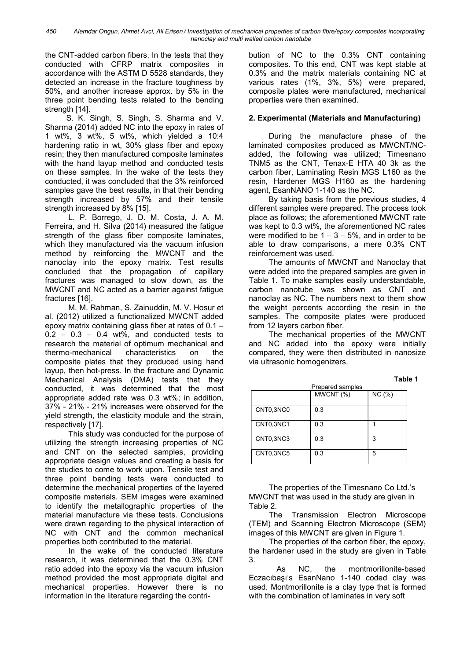450 Alemdar Ongun, Ahmet Avci, Ali Erișen / Investigation of mechanical properties of carbon fibre/epoxy composites incorporating nanoclay and multi walled carbon nanotube

the CNT-added carbon fibers. In the tests that they conducted with CFRP matrix composites in accordance with the ASTM D 5528 standards, they detected an increase in the fracture toughness by 50%, and another increase approx. by 5% in the three point bending tests related to the bending strength [14].

S. K. Singh, S. Singh, S. Sharma and V. Sharma (2014) added NC into the epoxy in rates of 1 wt%, 3 wt%, 5 wt%, which yielded a 10:4 hardening ratio in wt, 30% glass fiber and epoxy resin; they then manufactured composite laminates with the hand layup method and conducted tests on these samples. In the wake of the tests they conducted, it was concluded that the 3% reinforced samples gave the best results, in that their bending strength increased by 57% and their tensile strength increased by 8% [15].

L. P. Borrego, J. D. M. Costa, J. A. M. Ferreira, and H. Silva (2014) measured the fatigue strength of the glass fiber composite laminates, which they manufactured via the vacuum infusion method by reinforcing the MWCNT and the nanoclay into the epoxy matrix. Test results concluded that the propagation of capillary fractures was managed to slow down, as the MWCNT and NC acted as a barrier against fatigue fractures [16].

M. M. Rahman, S. Zainuddin, M. V. Hosur et al. (2012) utilized a functionalized MWCNT added epoxy matrix containing glass fiber at rates of 0.1 –  $0.2 - 0.3 - 0.4$  wt%, and conducted tests to research the material of optimum mechanical and thermo-mechanical characteristics on the composite plates that they produced using hand layup, then hot-press. In the fracture and Dynamic Mechanical Analysis (DMA) tests that they conducted, it was determined that the most appropriate added rate was 0.3 wt%; in addition, 37% - 21% - 21% increases were observed for the yield strength, the elasticity module and the strain, respectively [17].

This study was conducted for the purpose of utilizing the strength increasing properties of NC and CNT on the selected samples, providing appropriate design values and creating a basis for the studies to come to work upon. Tensile test and three point bending tests were conducted to determine the mechanical properties of the layered composite materials. SEM images were examined to identify the metallographic properties of the material manufacture via these tests. Conclusions were drawn regarding to the physical interaction of NC with CNT and the common mechanical properties both contributed to the material.

In the wake of the conducted literature research, it was determined that the 0.3% CNT ratio added into the epoxy via the vacuum infusion method provided the most appropriate digital and mechanical properties. However there is no information in the literature regarding the contribution of NC to the 0.3% CNT containing composites. To this end, CNT was kept stable at 0.3% and the matrix materials containing NC at various rates (1%, 3%, 5%) were prepared, composite plates were manufactured, mechanical properties were then examined.

# 2. Experimental (Materials and Manufacturing)

During the manufacture phase of the laminated composites produced as MWCNT/NCadded, the following was utilized; Timesnano TNM5 as the CNT, Tenax-E HTA 40 3k as the carbon fiber, Laminating Resin MGS L160 as the resin, Hardener MGS H160 as the hardening agent, EsanNANO 1-140 as the NC.

By taking basis from the previous studies, 4 different samples were prepared. The process took place as follows; the aforementioned MWCNT rate was kept to 0.3 wt%, the aforementioned NC rates were modified to be  $1 - 3 - 5$ %, and in order to be able to draw comparisons, a mere 0.3% CNT reinforcement was used.

The amounts of MWCNT and Nanoclay that were added into the prepared samples are given in Table 1. To make samples easily understandable, carbon nanotube was shown as CNT and nanoclay as NC. The numbers next to them show the weight percents according the resin in the samples. The composite plates were produced from 12 layers carbon fiber.

The mechanical properties of the MWCNT and NC added into the epoxy were initially compared, they were then distributed in nanosize via ultrasonic homogenizers.

|           |                  | Table 1 |  |
|-----------|------------------|---------|--|
|           | Prepared samples |         |  |
|           | MWCNT (%)        | NC(%)   |  |
|           |                  |         |  |
| CNT0,3NC0 | 0.3              |         |  |
|           |                  |         |  |
| CNT0,3NC1 | 0.3              |         |  |
|           |                  |         |  |
| CNT0,3NC3 | 0.3              | 3       |  |
|           |                  |         |  |
| CNT0,3NC5 | 0.3              | 5       |  |
|           |                  |         |  |

The properties of the Timesnano Co Ltd.'s MWCNT that was used in the study are given in Table 2.

The Transmission Electron Microscope (TEM) and Scanning Electron Microscope (SEM) images of this MWCNT are given in Figure 1.

The properties of the carbon fiber, the epoxy, the hardener used in the study are given in Table 3.

As NC, the montmorillonite-based Eczacıbaşı's EsanNano 1-140 coded clay was used. Montmorillonite is a clay type that is formed with the combination of laminates in very soft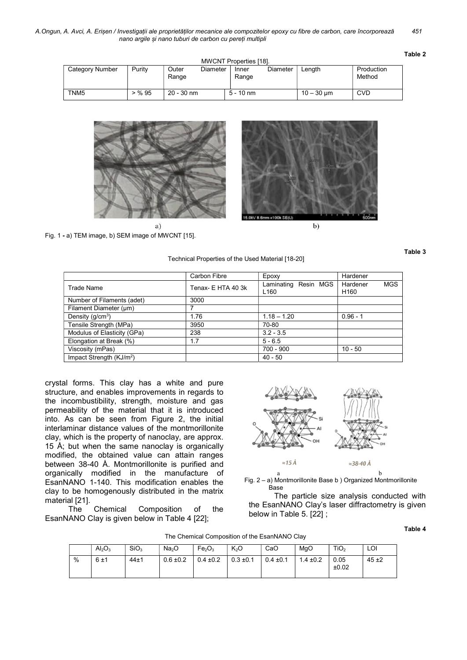A.Ongun, A. Avci, A. Erișen / Investigații ale proprietăților mecanice ale compozitelor epoxy cu fibre de carbon, care încorporează 451 nano argile și nano tuburi de carbon cu pereți multipli

| n<br>а<br>L<br>⊷ |
|------------------|
|------------------|

| <b>MWCNT Properties [18].</b>                                                                      |          |              |             |                      |            |  |  |
|----------------------------------------------------------------------------------------------------|----------|--------------|-------------|----------------------|------------|--|--|
| Category Number<br>Diameter<br>Production<br>Purity<br>Outer<br><b>Diameter</b><br>Length<br>Inner |          |              |             |                      |            |  |  |
|                                                                                                    |          | Range        | Range       |                      | Method     |  |  |
|                                                                                                    |          |              |             |                      |            |  |  |
| TNM <sub>5</sub>                                                                                   | $>$ % 95 | $20 - 30$ nm | $5 - 10$ nm | $10 - 30 \text{ µm}$ | <b>CVD</b> |  |  |



Fig. 1 - a) TEM image, b) SEM image of MWCNT [15].

Technical Properties of the Used Material [18-20]

Table 3

|                             | Carbon Fibre       | Epoxy                                    | Hardener                                   |
|-----------------------------|--------------------|------------------------------------------|--------------------------------------------|
| Trade Name                  | Tenax- E HTA 40 3k | Laminating Resin MGS<br>L <sub>160</sub> | Hardener<br><b>MGS</b><br>H <sub>160</sub> |
| Number of Filaments (adet)  | 3000               |                                          |                                            |
| Filament Diameter (µm)      |                    |                                          |                                            |
| Density $(g/cm3)$           | 1.76               | $1.18 - 1.20$                            | $0.96 - 1$                                 |
| Tensile Strength (MPa)      | 3950               | 70-80                                    |                                            |
| Modulus of Elasticity (GPa) | 238                | $3.2 - 3.5$                              |                                            |
| Elongation at Break (%)     | 1.7                | $5 - 6.5$                                |                                            |
| Viscosity (mPas)            |                    | 700 - 900                                | $10 - 50$                                  |
| Impact Strength $(KJ/m2)$   |                    | $40 - 50$                                |                                            |

crystal forms. This clay has a white and pure structure, and enables improvements in regards to the incombustibility, strength, moisture and gas permeability of the material that it is introduced into. As can be seen from Figure 2, the initial interlaminar distance values of the montmorillonite clay, which is the property of nanoclay, are approx. 15 Å; but when the same nanoclay is organically modified, the obtained value can attain ranges between 38-40 Å. Montmorillonite is purified and organically modified in the manufacture of EsanNANO 1-140. This modification enables the clay to be homogenously distributed in the matrix material [21].

The Chemical Composition of the EsanNANO Clay is given below in Table 4 [22];



Fig. 2 – a) Montmorillonite Base b ) Organized Montmorillonite Base

The particle size analysis conducted with the EsanNANO Clay's laser diffractometry is given below in Table 5. [22] ;

The Chemical Composition of the EsanNANO Clay

Table 4

|   | $Al_2O_3$ | SiO <sub>3</sub> | Na <sub>2</sub> O | Fe <sub>2</sub> O <sub>3</sub> | K <sub>2</sub> O | CaO           | MgO           | TiO <sub>2</sub> | LOI      |
|---|-----------|------------------|-------------------|--------------------------------|------------------|---------------|---------------|------------------|----------|
| % | 6±1       | $44\pm1$         | $0.6 \pm 0.2$     | $0.4 \pm 0.2$                  | $0.3 \pm 0.1$    | $0.4 \pm 0.1$ | $1.4 \pm 0.2$ | 0.05<br>±0.02    | $45 + 2$ |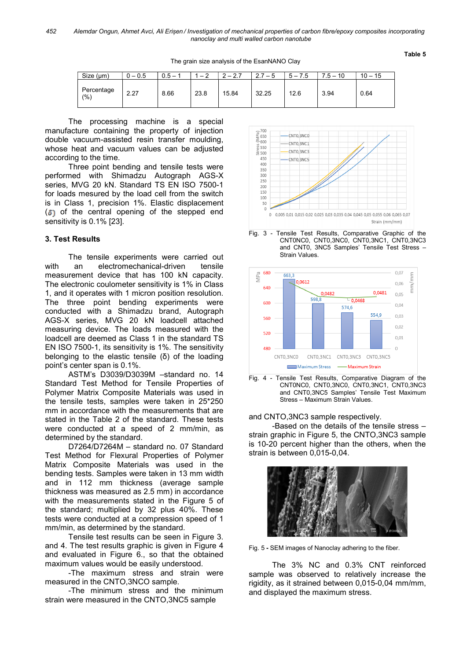The grain size analysis of the EsanNANO Clay

#### Table 5

| Size (µm)         | 0.5  | $0.5 -$ | $\sim$<br>- - | $\sim$ $\sim$ $\sim$ | $7 - 5$<br> | 7.5<br>5<br>$\overline{\phantom{0}}$ | $7.5 - 10$ | $10 - 15$ |
|-------------------|------|---------|---------------|----------------------|-------------|--------------------------------------|------------|-----------|
| Percentage<br>(%) | 2.27 | 8.66    | 23.8          | 15.84                | 32.25       | 12.6                                 | 3.94       | 0.64      |

The processing machine is a special manufacture containing the property of injection double vacuum-assisted resin transfer moulding, whose heat and vacuum values can be adjusted according to the time.

Three point bending and tensile tests were performed with Shimadzu Autograph AGS-X series, MVG 20 kN. Standard TS EN ISO 7500-1 for loads mesured by the load cell from the switch is in Class 1, precision 1%. Elastic displacement  $(5)$  of the central opening of the stepped end sensitivity is 0.1% [23].

## 3. Test Results

The tensile experiments were carried out with an electromechanical-driven tensile measurement device that has 100 kN capacity. The electronic coulometer sensitivity is 1% in Class 1, and it operates with 1 micron position resolution. The three point bending experiments were conducted with a Shimadzu brand, Autograph AGS-X series, MVG 20 kN loadcell attached measuring device. The loads measured with the loadcell are deemed as Class 1 in the standard TS EN ISO 7500-1, its sensitivity is 1%. The sensitivity belonging to the elastic tensile (δ) of the loading point's center span is 0.1%.

ASTM's D3039/D3039M –standard no. 14 Standard Test Method for Tensile Properties of Polymer Matrix Composite Materials was used in the tensile tests, samples were taken in 25\*250 mm in accordance with the measurements that are stated in the Table 2 of the standard. These tests were conducted at a speed of 2 mm/min, as determined by the standard.

D7264/D7264M – standard no. 07 Standard Test Method for Flexural Properties of Polymer Matrix Composite Materials was used in the bending tests. Samples were taken in 13 mm width and in 112 mm thickness (average sample thickness was measured as 2.5 mm) in accordance with the measurements stated in the Figure 5 of the standard; multiplied by 32 plus 40%. These tests were conducted at a compression speed of 1 mm/min, as determined by the standard.

Tensile test results can be seen in Figure 3. and 4. The test results graphic is given in Figure 4 and evaluated in Figure 6., so that the obtained maximum values would be easily understood.

-The maximum stress and strain were measured in the CNTO,3NCO sample.

-The minimum stress and the minimum strain were measured in the CNTO,3NC5 sample









#### and CNTO,3NC3 sample respectively.

-Based on the details of the tensile stress – strain graphic in Figure 5, the CNTO,3NC3 sample is 10-20 percent higher than the others, when the strain is between 0,015-0,04.





The 3% NC and 0.3% CNT reinforced sample was observed to relatively increase the rigidity, as it strained between 0,015-0,04 mm/mm, and displayed the maximum stress.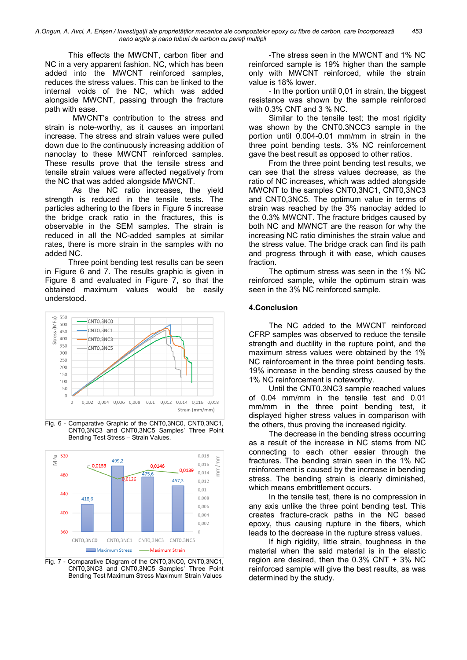A.Ongun, A. Avci, A. Erișen / Investigații ale proprietăților mecanice ale compozitelor epoxy cu fibre de carbon, care încorporează 453 nano argile și nano tuburi de carbon cu pereți multipli

This effects the MWCNT, carbon fiber and NC in a very apparent fashion. NC, which has been added into the MWCNT reinforced samples, reduces the stress values. This can be linked to the internal voids of the NC, which was added alongside MWCNT, passing through the fracture path with ease.

MWCNT's contribution to the stress and strain is note-worthy, as it causes an important increase. The stress and strain values were pulled down due to the continuously increasing addition of nanoclay to these MWCNT reinforced samples. These results prove that the tensile stress and tensile strain values were affected negatively from the NC that was added alongside MWCNT.

As the NC ratio increases, the yield strength is reduced in the tensile tests. The particles adhering to the fibers in Figure 5 increase the bridge crack ratio in the fractures, this is observable in the SEM samples. The strain is reduced in all the NC-added samples at similar rates, there is more strain in the samples with no added NC.

Three point bending test results can be seen in Figure 6 and 7. The results graphic is given in Figure 6 and evaluated in Figure 7, so that the obtained maximum values would be easily understood.



Fig. 6 - Comparative Graphic of the CNT0,3NC0, CNT0,3NC1, CNT0,3NC3 and CNT0,3NC5 Samples' Three Point Bending Test Stress – Strain Values.



Fig. 7 - Comparative Diagram of the CNT0,3NC0, CNT0,3NC1, CNT0,3NC3 and CNT0,3NC5 Samples' Three Point Bending Test Maximum Stress Maximum Strain Values

-The stress seen in the MWCNT and 1% NC reinforced sample is 19% higher than the sample only with MWCNT reinforced, while the strain value is 18% lower.

- In the portion until 0,01 in strain, the biggest resistance was shown by the sample reinforced with 0.3% CNT and 3 % NC.

Similar to the tensile test; the most rigidity was shown by the CNT0.3NCC3 sample in the portion until 0.004-0.01 mm/mm in strain in the three point bending tests. 3% NC reinforcement gave the best result as opposed to other ratios.

From the three point bending test results, we can see that the stress values decrease, as the ratio of NC increases, which was added alongside MWCNT to the samples CNT0,3NC1, CNT0,3NC3 and CNT0,3NC5. The optimum value in terms of strain was reached by the 3% nanoclay added to the 0.3% MWCNT. The fracture bridges caused by both NC and MWNCT are the reason for why the increasing NC ratio diminishes the strain value and the stress value. The bridge crack can find its path and progress through it with ease, which causes fraction.

The optimum stress was seen in the 1% NC reinforced sample, while the optimum strain was seen in the 3% NC reinforced sample.

### 4.Conclusion

The NC added to the MWCNT reinforced CFRP samples was observed to reduce the tensile strength and ductility in the rupture point, and the maximum stress values were obtained by the 1% NC reinforcement in the three point bending tests. 19% increase in the bending stress caused by the 1% NC reinforcement is noteworthy.

Until the CNT0.3NC3 sample reached values of 0.04 mm/mm in the tensile test and 0.01 mm/mm in the three point bending test, it displayed higher stress values in comparison with the others, thus proving the increased rigidity.

The decrease in the bending stress occurring as a result of the increase in NC stems from NC connecting to each other easier through the fractures. The bending strain seen in the 1% NC reinforcement is caused by the increase in bending stress. The bending strain is clearly diminished, which means embrittlement occurs.

In the tensile test, there is no compression in any axis unlike the three point bending test. This creates fracture-crack paths in the NC based epoxy, thus causing rupture in the fibers, which leads to the decrease in the rupture stress values.

If high rigidity, little strain, toughness in the material when the said material is in the elastic region are desired, then the 0.3% CNT + 3% NC reinforced sample will give the best results, as was determined by the study.